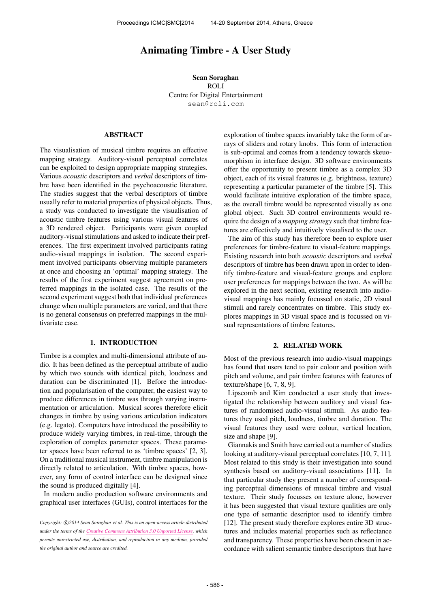# Animating Timbre - A User Study

Sean Soraghan ROLI Centre for Digital Entertainment [sean@roli.com](mailto:sean@roli.com)

# ABSTRACT

The visualisation of musical timbre requires an effective mapping strategy. Auditory-visual perceptual correlates can be exploited to design appropriate mapping strategies. Various *acoustic* descriptors and *verbal* descriptors of timbre have been identified in the psychoacoustic literature. The studies suggest that the verbal descriptors of timbre usually refer to material properties of physical objects. Thus, a study was conducted to investigate the visualisation of acoustic timbre features using various visual features of a 3D rendered object. Participants were given coupled auditory-visual stimulations and asked to indicate their preferences. The first experiment involved participants rating audio-visual mappings in isolation. The second experiment involved participants observing multiple parameters at once and choosing an 'optimal' mapping strategy. The results of the first experiment suggest agreement on preferred mappings in the isolated case. The results of the second experiment suggest both that individual preferences change when multiple parameters are varied, and that there is no general consensus on preferred mappings in the multivariate case.

# 1. INTRODUCTION

Timbre is a complex and multi-dimensional attribute of audio. It has been defined as the perceptual attribute of audio by which two sounds with identical pitch, loudness and duration can be discriminated [1]. Before the introduction and popularisation of the computer, the easiest way to produce differences in timbre was through varying instrumentation or articulation. Musical scores therefore elicit changes in timbre by using various articulation indicators (e.g. legato). Computers have introduced the possibility to produce widely varying timbres, in real-time, through the exploration of complex parameter spaces. These parameter spaces have been referred to as 'timbre spaces' [2, 3]. On a traditional musical instrument, timbre manipulation is directly related to articulation. With timbre spaces, however, any form of control interface can be designed since the sound is produced digitally [4].

In modern audio production software environments and graphical user interfaces (GUIs), control interfaces for the exploration of timbre spaces invariably take the form of arrays of sliders and rotary knobs. This form of interaction is sub-optimal and comes from a tendency towards skeuomorphism in interface design. 3D software environments offer the opportunity to present timbre as a complex 3D object, each of its visual features (e.g. brightness, texture) representing a particular parameter of the timbre [5]. This would facilitate intuitive exploration of the timbre space, as the overall timbre would be represented visually as one global object. Such 3D control environments would require the design of a *mapping strategy* such that timbre features are effectively and intuitively visualised to the user.

The aim of this study has therefore been to explore user preferences for timbre-feature to visual-feature mappings. Existing research into both *acoustic* descriptors and *verbal* descriptors of timbre has been drawn upon in order to identify timbre-feature and visual-feature groups and explore user preferences for mappings between the two. As will be explored in the next section, existing research into audiovisual mappings has mainly focussed on static, 2D visual stimuli and rarely concentrates on timbre. This study explores mappings in 3D visual space and is focussed on visual representations of timbre features.

# 2. RELATED WORK

Most of the previous research into audio-visual mappings has found that users tend to pair colour and position with pitch and volume, and pair timbre features with features of texture/shape [6, 7, 8, 9].

Lipscomb and Kim conducted a user study that investigated the relationship between auditory and visual features of randomised audio-visual stimuli. As audio features they used pitch, loudness, timbre and duration. The visual features they used were colour, vertical location, size and shape [9].

Giannakis and Smith have carried out a number of studies looking at auditory-visual perceptual correlates [10, 7, 11]. Most related to this study is their investigation into sound synthesis based on auditory-visual associations [11]. In that particular study they present a number of corresponding perceptual dimensions of musical timbre and visual texture. Their study focusses on texture alone, however it has been suggested that visual texture qualities are only one type of semantic descriptor used to identify timbre [12]. The present study therefore explores entire 3D structures and includes material properties such as reflectance and transparency. These properties have been chosen in accordance with salient semantic timbre descriptors that have

Copyright:  $\bigcirc$ 2014 Sean Soraghan et al. This is an open-access article distributed *under the terms of the [Creative Commons Attribution 3.0 Unported License,](http://creativecommons.org/licenses/by/3.0/) which permits unrestricted use, distribution, and reproduction in any medium, provided the original author and source are credited.*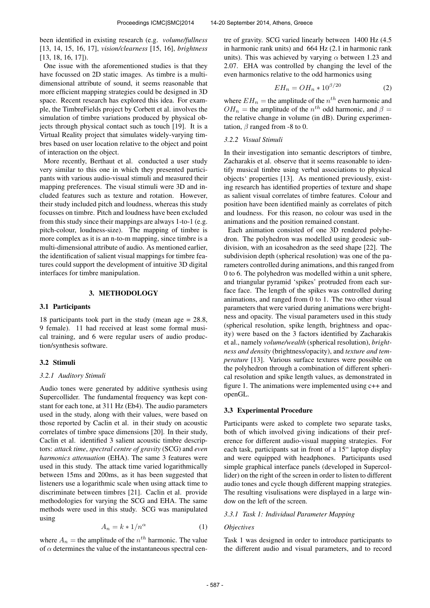been identified in existing research (e.g. *volume/fullness* [13, 14, 15, 16, 17], *vision/clearness* [15, 16], *brightness* [13, 18, 16, 17]).

One issue with the aforementioned studies is that they have focussed on 2D static images. As timbre is a multidimensional attribute of sound, it seems reasonable that more efficient mapping strategies could be designed in 3D space. Recent research has explored this idea. For example, the TimbreFields project by Corbett et al. involves the simulation of timbre variations produced by physical objects through physical contact such as touch [19]. It is a Virtual Reality project that simulates widely-varying timbres based on user location relative to the object and point of interaction on the object.

More recently, Berthaut et al. conducted a user study very similar to this one in which they presented participants with various audio-visual stimuli and measured their mapping preferences. The visual stimuli were 3D and included features such as texture and rotation. However, their study included pitch and loudness, whereas this study focusses on timbre. Pitch and loudness have been excluded from this study since their mappings are always 1-to-1 (e.g. pitch-colour, loudness-size). The mapping of timbre is more complex as it is an n-to-m mapping, since timbre is a multi-dimensional attribute of audio. As mentioned earlier, the identification of salient visual mappings for timbre features could support the development of intuitive 3D digital interfaces for timbre manipulation.

### 3. METHODOLOGY

#### 3.1 Participants

18 participants took part in the study (mean age  $= 28.8$ , 9 female). 11 had received at least some formal musical training, and 6 were regular users of audio production/synthesis software.

#### 3.2 Stimuli

#### *3.2.1 Auditory Stimuli*

Audio tones were generated by additive synthesis using Supercollider. The fundamental frequency was kept constant for each tone, at 311 Hz (Eb4). The audio parameters used in the study, along with their values, were based on those reported by Caclin et al. in their study on acoustic correlates of timbre space dimensions [20]. In their study, Caclin et al. identified 3 salient acoustic timbre descriptors: *attack time*, *spectral centre of gravity* (SCG) and *even harmonics attenuation* (EHA). The same 3 features were used in this study. The attack time varied logarithmically between 15ms and 200ms, as it has been suggested that listeners use a logarithmic scale when using attack time to discriminate between timbres [21]. Caclin et al. provide methodologies for varying the SCG and EHA. The same methods were used in this study. SCG was manipulated using

$$
A_n = k * 1/n^{\alpha} \tag{1}
$$

where  $A_n$  = the amplitude of the  $n^{th}$  harmonic. The value of  $\alpha$  determines the value of the instantaneous spectral centre of gravity. SCG varied linearly between 1400 Hz (4.5 in harmonic rank units) and 664 Hz (2.1 in harmonic rank units). This was achieved by varying  $\alpha$  between 1.23 and 2.07. EHA was controlled by changing the level of the even harmonics relative to the odd harmonics using

$$
EH_n = OH_n * 10^{\beta/20} \tag{2}
$$

where  $EH_n =$  the amplitude of the  $n^{th}$  even harmonic and  $OH_n$  = the amplitude of the  $n^{th}$  odd harmonic, and  $\beta$  = the relative change in volume (in dB). During experimentation,  $\beta$  ranged from -8 to 0.

#### *3.2.2 Visual Stimuli*

In their investigation into semantic descriptors of timbre, Zacharakis et al. observe that it seems reasonable to identify musical timbre using verbal associations to physical objects' properties [13]. As mentioned previously, existing research has identified properties of texture and shape as salient visual correlates of timbre features. Colour and position have been identified mainly as correlates of pitch and loudness. For this reason, no colour was used in the animations and the position remained constant.

Each animation consisted of one 3D rendered polyhedron. The polyhedron was modelled using geodesic subdivision, with an icosahedron as the seed shape [22]. The subdivision depth (spherical resolution) was one of the parameters controlled during animations, and this ranged from 0 to 6. The polyhedron was modelled within a unit sphere, and triangular pyramid 'spikes' protruded from each surface face. The length of the spikes was controlled during animations, and ranged from 0 to 1. The two other visual parameters that were varied during animations were brightness and opacity. The visual parameters used in this study (spherical resolution, spike length, brightness and opacity) were based on the 3 factors identified by Zacharakis et al., namely *volume/wealth* (spherical resolution), *brightness and density* (brightness/opacity), and *texture and temperature* [13]. Various surface textures were possible on the polyhedron through a combination of different spherical resolution and spike length values, as demonstrated in figure 1. The animations were implemented using c++ and openGL.

# 3.3 Experimental Procedure

Participants were asked to complete two separate tasks, both of which involved giving indications of their preference for different audio-visual mapping strategies. For each task, participants sat in front of a 15" laptop display and were equipped with headphones. Participants used simple graphical interface panels (developed in Supercollider) on the right of the screen in order to listen to different audio tones and cycle though different mapping strategies. The resulting visulisations were displayed in a large window on the left of the screen.

### *3.3.1 Task 1: Individual Parameter Mapping*

# *Objectives*

Task 1 was designed in order to introduce participants to the different audio and visual parameters, and to record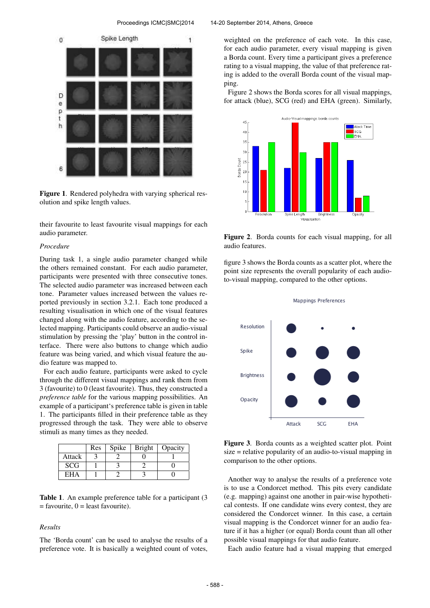

Figure 1. Rendered polyhedra with varying spherical resolution and spike length values.

their favourite to least favourite visual mappings for each audio parameter.

#### *Procedure*

During task 1, a single audio parameter changed while the others remained constant. For each audio parameter, participants were presented with three consecutive tones. The selected audio parameter was increased between each tone. Parameter values increased between the values reported previously in section 3.2.1. Each tone produced a resulting visualisation in which one of the visual features changed along with the audio feature, according to the selected mapping. Participants could observe an audio-visual stimulation by pressing the 'play' button in the control interface. There were also buttons to change which audio feature was being varied, and which visual feature the audio feature was mapped to.

For each audio feature, participants were asked to cycle through the different visual mappings and rank them from 3 (favourite) to 0 (least favourite). Thus, they constructed a *preference table* for the various mapping possibilities. An example of a participant's preference table is given in table 1. The participants filled in their preference table as they progressed through the task. They were able to observe stimuli as many times as they needed.

|            | <b>Res</b> | Spike | <b>Bright</b> | Opacity |
|------------|------------|-------|---------------|---------|
| Attack     |            |       |               |         |
| <b>SCG</b> |            |       |               |         |
| <b>EHA</b> |            |       |               |         |

Table 1. An example preference table for a participant (3  $=$  favourite,  $0 =$  least favourite).

### *Results*

The 'Borda count' can be used to analyse the results of a preference vote. It is basically a weighted count of votes,

#### Proceedings ICMC|SMC|2014 14-20 September 2014, Athens, Greece

weighted on the preference of each vote. In this case, for each audio parameter, every visual mapping is given a Borda count. Every time a participant gives a preference rating to a visual mapping, the value of that preference rating is added to the overall Borda count of the visual mapping.

Figure 2 shows the Borda scores for all visual mappings, for attack (blue), SCG (red) and EHA (green). Similarly,



Figure 2. Borda counts for each visual mapping, for all audio features.

figure 3 shows the Borda counts as a scatter plot, where the point size represents the overall popularity of each audioto-visual mapping, compared to the other options.



Figure 3. Borda counts as a weighted scatter plot. Point size = relative popularity of an audio-to-visual mapping in comparison to the other options.

Another way to analyse the results of a preference vote is to use a Condorcet method. This pits every candidate (e.g. mapping) against one another in pair-wise hypothetical contests. If one candidate wins every contest, they are considered the Condorcet winner. In this case, a certain visual mapping is the Condorcet winner for an audio feature if it has a higher (or equal) Borda count than all other possible visual mappings for that audio feature.

Each audio feature had a visual mapping that emerged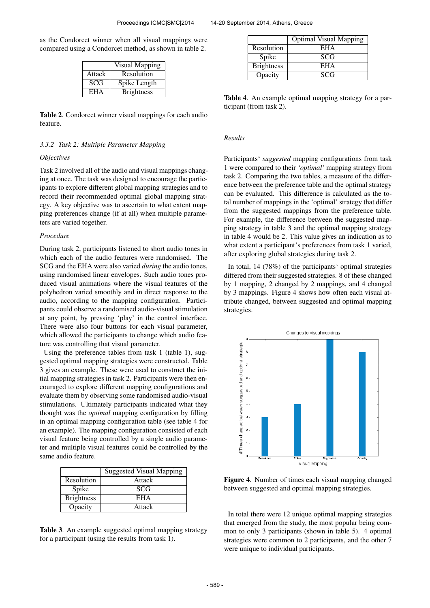as the Condorcet winner when all visual mappings were compared using a Condorcet method, as shown in table 2.

|            | <b>Visual Mapping</b> |
|------------|-----------------------|
| Attack     | Resolution            |
| <b>SCG</b> | Spike Length          |
| <b>EHA</b> | <b>Brightness</b>     |

Table 2. Condorcet winner visual mappings for each audio feature.

# *3.3.2 Task 2: Multiple Parameter Mapping*

#### *Objectives*

Task 2 involved all of the audio and visual mappings changing at once. The task was designed to encourage the participants to explore different global mapping strategies and to record their recommended optimal global mapping strategy. A key objective was to ascertain to what extent mapping preferences change (if at all) when multiple parameters are varied together.

# *Procedure*

During task 2, participants listened to short audio tones in which each of the audio features were randomised. The SCG and the EHA were also varied *during* the audio tones, using randomised linear envelopes. Such audio tones produced visual animations where the visual features of the polyhedron varied smoothly and in direct response to the audio, according to the mapping configuration. Participants could observe a randomised audio-visual stimulation at any point, by pressing 'play' in the control interface. There were also four buttons for each visual parameter, which allowed the participants to change which audio feature was controlling that visual parameter.

Using the preference tables from task 1 (table 1), suggested optimal mapping strategies were constructed. Table 3 gives an example. These were used to construct the initial mapping strategies in task 2. Participants were then encouraged to explore different mapping configurations and evaluate them by observing some randomised audio-visual stimulations. Ultimately participants indicated what they thought was the *optimal* mapping configuration by filling in an optimal mapping configuration table (see table 4 for an example). The mapping configuration consisted of each visual feature being controlled by a single audio parameter and multiple visual features could be controlled by the same audio feature.

|                   | <b>Suggested Visual Mapping</b> |
|-------------------|---------------------------------|
| Resolution        | Attack                          |
| Spike             | SCG                             |
| <b>Brightness</b> | EHA                             |
| Opacity           | Attack                          |

Table 3. An example suggested optimal mapping strategy for a participant (using the results from task 1).

|                   | <b>Optimal Visual Mapping</b> |
|-------------------|-------------------------------|
| Resolution        | EHA                           |
| Spike             | SCG                           |
| <b>Brightness</b> | <b>EHA</b>                    |
| Opacity           | <b>SCG</b>                    |

Table 4. An example optimal mapping strategy for a participant (from task 2).

# *Results*

Participants' *suggested* mapping configurations from task 1 were compared to their *'optimal'* mapping strategy from task 2. Comparing the two tables, a measure of the difference between the preference table and the optimal strategy can be evaluated. This difference is calculated as the total number of mappings in the 'optimal' strategy that differ from the suggested mappings from the preference table. For example, the difference between the suggested mapping strategy in table 3 and the optimal mapping strategy in table 4 would be 2. This value gives an indication as to what extent a participant's preferences from task 1 varied, after exploring global strategies during task 2.

In total, 14 (78%) of the participants' optimal strategies differed from their suggested strategies. 8 of these changed by 1 mapping, 2 changed by 2 mappings, and 4 changed by 3 mappings. Figure 4 shows how often each visual attribute changed, between suggested and optimal mapping strategies.



Figure 4. Number of times each visual mapping changed between suggested and optimal mapping strategies.

In total there were 12 unique optimal mapping strategies that emerged from the study, the most popular being common to only 3 participants (shown in table 5). 4 optimal strategies were common to 2 participants, and the other 7 were unique to individual participants.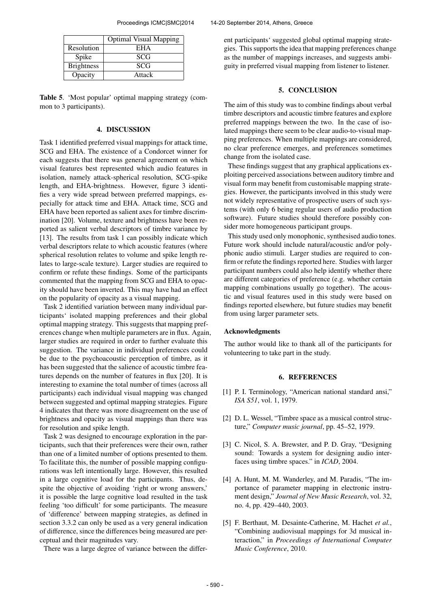|                   | <b>Optimal Visual Mapping</b> |
|-------------------|-------------------------------|
| Resolution        | <b>EHA</b>                    |
| Spike             | <b>SCG</b>                    |
| <b>Brightness</b> | <b>SCG</b>                    |

Table 5. 'Most popular' optimal mapping strategy (common to 3 participants).

Opacity Attack

# 4. DISCUSSION

Task 1 identified preferred visual mappings for attack time, SCG and EHA. The existence of a Condorcet winner for each suggests that there was general agreement on which visual features best represented which audio features in isolation, namely attack-spherical resolution, SCG-spike length, and EHA-brightness. However, figure 3 identifies a very wide spread between preferred mappings, especially for attack time and EHA. Attack time, SCG and EHA have been reported as salient axes for timbre discrimination [20]. Volume, texture and brightness have been reported as salient verbal descriptors of timbre variance by [13]. The results from task 1 can possibly indicate which verbal descriptors relate to which acoustic features (where spherical resolution relates to volume and spike length relates to large-scale texture). Larger studies are required to confirm or refute these findings. Some of the participants commented that the mapping from SCG and EHA to opacity should have been inverted. This may have had an effect on the popularity of opacity as a visual mapping.

Task 2 identified variation between many individual participants' isolated mapping preferences and their global optimal mapping strategy. This suggests that mapping preferences change when multiple parameters are in flux. Again, larger studies are required in order to further evaluate this suggestion. The variance in individual preferences could be due to the psychoacoustic perception of timbre, as it has been suggested that the salience of acoustic timbre features depends on the number of features in flux [20]. It is interesting to examine the total number of times (across all participants) each individual visual mapping was changed between suggested and optimal mapping strategies. Figure 4 indicates that there was more disagreement on the use of brightness and opacity as visual mappings than there was for resolution and spike length.

Task 2 was designed to encourage exploration in the participants, such that their preferences were their own, rather than one of a limited number of options presented to them. To facilitate this, the number of possible mapping configurations was left intentionally large. However, this resulted in a large cognitive load for the participants. Thus, despite the objective of avoiding 'right or wrong answers,' it is possible the large cognitive load resulted in the task feeling 'too difficult' for some participants. The measure of 'difference' between mapping strategies, as defined in section 3.3.2 can only be used as a very general indication of difference, since the differences being measured are perceptual and their magnitudes vary.

There was a large degree of variance between the differ-

ent participants' suggested global optimal mapping strategies. This supports the idea that mapping preferences change as the number of mappings increases, and suggests ambiguity in preferred visual mapping from listener to listener.

# 5. CONCLUSION

The aim of this study was to combine findings about verbal timbre descriptors and acoustic timbre features and explore preferred mappings between the two. In the case of isolated mappings there seem to be clear audio-to-visual mapping preferences. When multiple mappings are considered, no clear preference emerges, and preferences sometimes change from the isolated case.

These findings suggest that any graphical applications exploiting perceived associations between auditory timbre and visual form may benefit from customisable mapping strategies. However, the participants involved in this study were not widely representative of prospective users of such systems (with only 6 being regular users of audio production software). Future studies should therefore possibly consider more homogeneous participant groups.

This study used only monophonic, synthesised audio tones. Future work should include natural/acoustic and/or polyphonic audio stimuli. Larger studies are required to confirm or refute the findings reported here. Studies with larger participant numbers could also help identify whether there are different categories of preference (e.g. whether certain mapping combinations usually go together). The acoustic and visual features used in this study were based on findings reported elsewhere, but future studies may benefit from using larger parameter sets.

# Acknowledgments

The author would like to thank all of the participants for volunteering to take part in the study.

# 6. REFERENCES

- [1] P. I. Terminology, "American national standard ansi," *ISA S51*, vol. 1, 1979.
- [2] D. L. Wessel, "Timbre space as a musical control structure," *Computer music journal*, pp. 45–52, 1979.
- [3] C. Nicol, S. A. Brewster, and P. D. Gray, "Designing sound: Towards a system for designing audio interfaces using timbre spaces." in *ICAD*, 2004.
- [4] A. Hunt, M. M. Wanderley, and M. Paradis, "The importance of parameter mapping in electronic instrument design," *Journal of New Music Research*, vol. 32, no. 4, pp. 429–440, 2003.
- [5] F. Berthaut, M. Desainte-Catherine, M. Hachet *et al.*, "Combining audiovisual mappings for 3d musical interaction," in *Proceedings of International Computer Music Conference*, 2010.